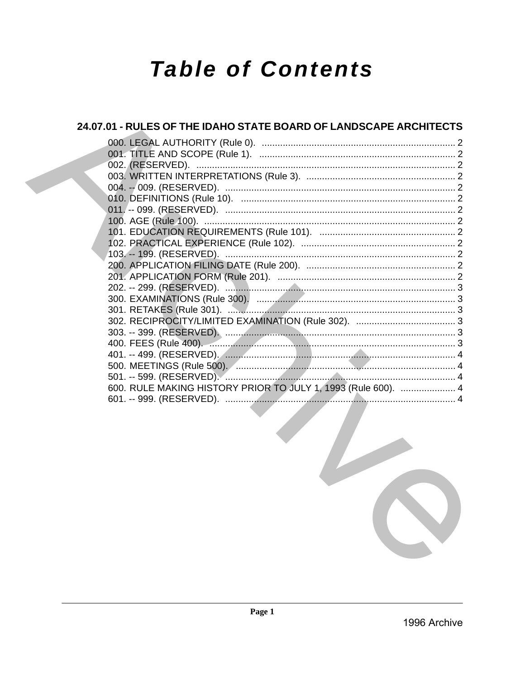# **Table of Contents**

| 24.07.01 - RULES OF THE IDAHO STATE BOARD OF LANDSCAPE ARCHITECTS                               |  |
|-------------------------------------------------------------------------------------------------|--|
|                                                                                                 |  |
|                                                                                                 |  |
|                                                                                                 |  |
|                                                                                                 |  |
|                                                                                                 |  |
|                                                                                                 |  |
|                                                                                                 |  |
|                                                                                                 |  |
|                                                                                                 |  |
|                                                                                                 |  |
|                                                                                                 |  |
|                                                                                                 |  |
|                                                                                                 |  |
|                                                                                                 |  |
|                                                                                                 |  |
|                                                                                                 |  |
|                                                                                                 |  |
|                                                                                                 |  |
|                                                                                                 |  |
|                                                                                                 |  |
|                                                                                                 |  |
|                                                                                                 |  |
| 600. RULE MAKING HISTORY PRIOR TO JULY 1, 1993 (Rule 600).  4                                   |  |
| the contract of the contract of the contract of the contract of the contract of the contract of |  |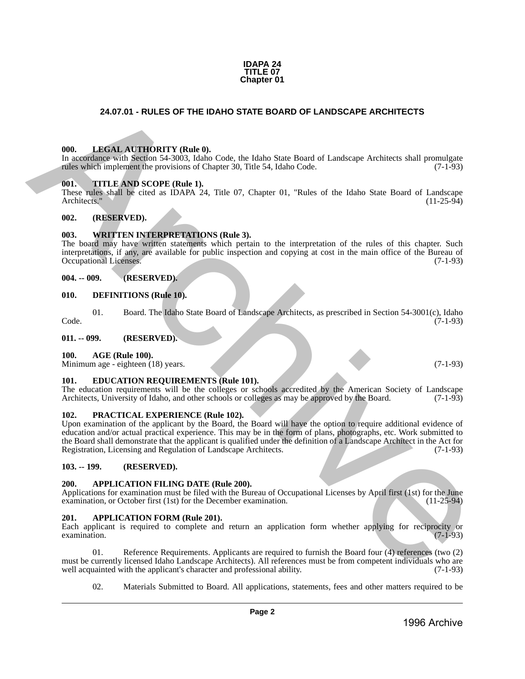#### **IDAPA 24 TITLE 07 Chapter 01**

# **24.07.01 - RULES OF THE IDAHO STATE BOARD OF LANDSCAPE ARCHITECTS**

#### <span id="page-1-1"></span>**000. LEGAL AUTHORITY (Rule 0).**

In accordance with Section 54-3003, Idaho Code, the Idaho State Board of Landscape Architects shall promulgate rules which implement the provisions of Chapter 30, Title 54, Idaho Code. (7-1-93)

#### <span id="page-1-2"></span>**001. TITLE AND SCOPE (Rule 1).**

These rules shall be cited as IDAPA 24, Title 07, Chapter 01, "Rules of the Idaho State Board of Landscape Architects." (11-25-94)

#### <span id="page-1-3"></span>**002. (RESERVED).**

#### <span id="page-1-4"></span>**003. WRITTEN INTERPRETATIONS (Rule 3).**

The board may have written statements which pertain to the interpretation of the rules of this chapter. Such interpretations, if any, are available for public inspection and copying at cost in the main office of the Bureau of Occupational Licenses.

#### <span id="page-1-5"></span>**004. -- 009. (RESERVED).**

#### <span id="page-1-6"></span>**010. DEFINITIONS (Rule 10).**

01. Board. The Idaho State Board of Landscape Architects, as prescribed in Section 54-3001(c), Idaho (7-1-93) Code. (7-1-93)

<span id="page-1-7"></span>**011. -- 099. (RESERVED).**

#### <span id="page-1-8"></span>**100. AGE (Rule 100).**

Minimum age - eighteen (18) years. (7-1-93)

#### <span id="page-1-9"></span>**101. EDUCATION REQUIREMENTS (Rule 101).**

The education requirements will be the colleges or schools accredited by the American Society of Landscape Architects, University of Idaho, and other schools or colleges as may be approved by the Board. (7-1-93)

#### <span id="page-1-10"></span>**102. PRACTICAL EXPERIENCE (Rule 102).**

<span id="page-1-0"></span>Upon examination of the applicant by the Board, the Board will have the option to require additional evidence of education and/or actual practical experience. This may be in the form of plans, photographs, etc. Work submitted to the Board shall demonstrate that the applicant is qualified under the definition of a Landscape Architect in the Act for Registration, Licensing and Regulation of Landscape Architects. (7-1-93) **24.07.01 • RULES OF THE IDANO STATE BOARD OF LANDSCAPE ARCHITECTS<br>
1986.** LANGAI ANTHIVISTY (Buthol).<br>
The control and The UV (1-1-45)<br>
The control and The Photos Code of the Internal Ready State Found of Landcape Archit

#### <span id="page-1-11"></span>**103. -- 199. (RESERVED).**

#### <span id="page-1-12"></span>**200. APPLICATION FILING DATE (Rule 200).**

Applications for examination must be filed with the Bureau of Occupational Licenses by April first (1st) for the June examination, or October first (1st) for the December examination. (11-25-94) examination, or October first (1st) for the December examination.

#### <span id="page-1-13"></span>**201. APPLICATION FORM (Rule 201).**

Each applicant is required to complete and return an application form whether applying for reciprocity or  $\alpha$  examination. (7-1-93)

01. Reference Requirements. Applicants are required to furnish the Board four (4) references (two (2) must be currently licensed Idaho Landscape Architects). All references must be from competent individuals who are well acquainted with the applicant's character and professional ability. (7-1-93) well acquainted with the applicant's character and professional ability.

02. Materials Submitted to Board. All applications, statements, fees and other matters required to be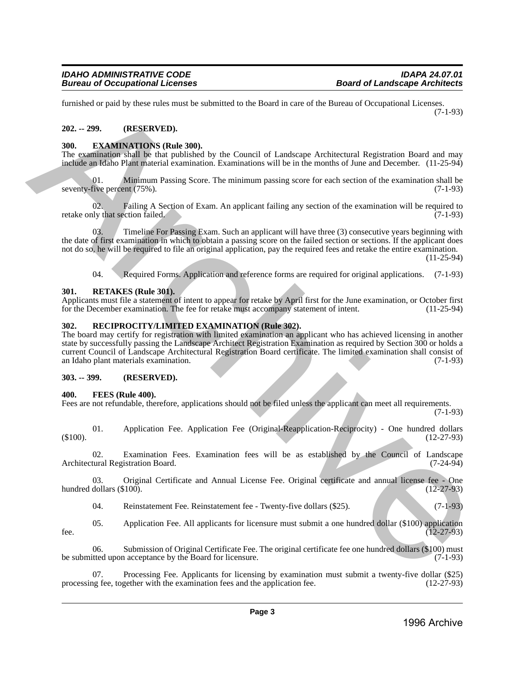furnished or paid by these rules must be submitted to the Board in care of the Bureau of Occupational Licenses. (7-1-93)

# <span id="page-2-0"></span>**202. -- 299. (RESERVED).**

# <span id="page-2-1"></span>**300. EXAMINATIONS (Rule 300).**

The examination shall be that published by the Council of Landscape Architectural Registration Board and may include an Idaho Plant material examination. Examinations will be in the months of June and December. (11-25-94)

01. Minimum Passing Score. The minimum passing score for each section of the examination shall be seventy-five percent (75%). (7-1-93)

02. Failing A Section of Exam. An applicant failing any section of the examination will be required to ly that section failed. (7-1-93) retake only that section failed.

03. Timeline For Passing Exam. Such an applicant will have three (3) consecutive years beginning with the date of first examination in which to obtain a passing score on the failed section or sections. If the applicant does not do so, he will be required to file an original application, pay the required fees and retake the entire examination.

(11-25-94)

04. Required Forms. Application and reference forms are required for original applications. (7-1-93)

# <span id="page-2-2"></span>**301. RETAKES (Rule 301).**

Applicants must file a statement of intent to appear for retake by April first for the June examination, or October first for the December examination. The fee for retake must accompany statement of intent. (11-25-94) for the December examination. The fee for retake must accompany statement of intent.

# <span id="page-2-3"></span>**302. RECIPROCITY/LIMITED EXAMINATION (Rule 302).**

The board may certify for registration with limited examination an applicant who has achieved licensing in another state by successfully passing the Landscape Architect Registration Examination as required by Section 300 or holds a current Council of Landscape Architectural Registration Board certificate. The limited examination shall consist of an Idaho plant materials examination. (7-1-93) formioned regard by these rules was be solventiant to be Barachive and the fluenca of Occupational Licenses.<br>
APC and the United State MO.<br>
1920. The Commission of the Commission of Landenge Archivectural Registration Boa

# <span id="page-2-4"></span>**303. -- 399. (RESERVED).**

# <span id="page-2-5"></span>**400. FEES (Rule 400).**

Fees are not refundable, therefore, applications should not be filed unless the applicant can meet all requirements.

 $(7-1-93)$ 

01. Application Fee. Application Fee (Original-Reapplication-Reciprocity) - One hundred dollars (12-27-93)  $(12-27-93)$  (12-27-93)

02. Examination Fees. Examination fees will be as established by the Council of Landscape Architectural Registration Board. (7-24-94)

03. Original Certificate and Annual License Fee. Original certificate and annual license fee - One dollars (\$100). (12-27-93) hundred dollars  $(\$100)$ .

04. Reinstatement Fee. Reinstatement fee - Twenty-five dollars (\$25). (7-1-93)

05. Application Fee. All applicants for licensure must submit a one hundred dollar (\$100) application fee.  $(12-27-93)$ 

06. Submission of Original Certificate Fee. The original certificate fee one hundred dollars (\$100) must be submitted upon acceptance by the Board for licensure. (7-1-93)

Processing Fee. Applicants for licensing by examination must submit a twenty-five dollar (\$25) gether with the examination fees and the application fee. (12-27-93) processing fee, together with the examination fees and the application fee.